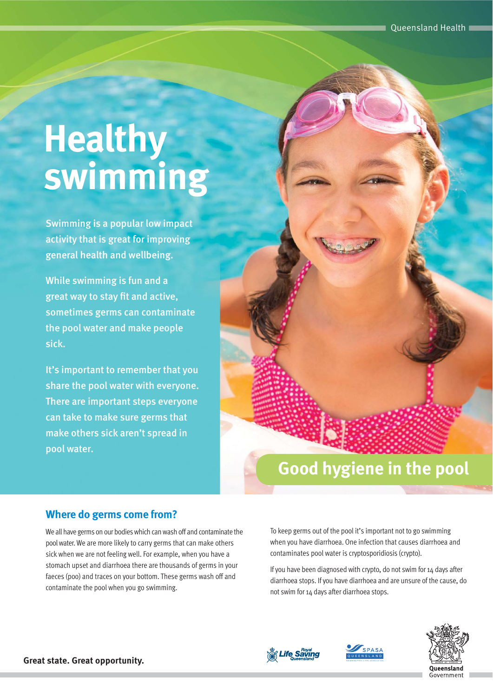# **swimming Healthy**

Swimming is a popular low impact activity that is great for improving general health and wellbeing.

While swimming is fun and a great way to stay fit and active, sometimes germs can contaminate the pool water and make people sick.

It's important to remember that you share the pool water with everyone. There are important steps everyone can take to make sure germs that make others sick aren't spread in pool water.

# **Good hygiene in the pool**

#### **Where do germs come from?**

We all have germs on our bodies which can wash off and contaminate the pool water. We are more likely to carry germs that can make others sick when we are not feeling well. For example, when you have a stomach upset and diarrhoea there are thousands of germs in your faeces (poo) and traces on your bottom. These germs wash off and contaminate the pool when you go swimming.

To keep germs out of the pool it's important not to go swimming when you have diarrhoea. One infection that causes diarrhoea and contaminates pool water is cryptosporidiosis (crypto).

If you have been diagnosed with crypto, do not swim for 14 days after diarrhoea stops. If you have diarrhoea and are unsure of the cause, do not swim for 14 days after diarrhoea stops.